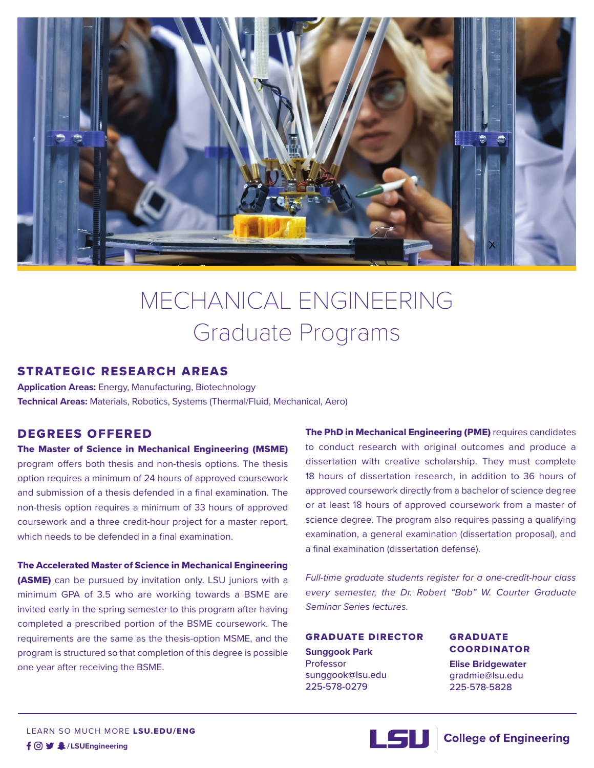

# MECHANICAL ENGINEERING Graduate Programs

# STRATEGIC RESEARCH AREAS

**Application Areas:** Energy, Manufacturing, Biotechnology **Technical Areas:** Materials, Robotics, Systems (Thermal/Fluid, Mechanical, Aero)

# DEGREES OFFERED

The Master of Science in Mechanical Engineering (MSME) program offers both thesis and non-thesis options. The thesis option requires a minimum of 24 hours of approved coursework and submission of a thesis defended in a final examination. The non-thesis option requires a minimum of 33 hours of approved coursework and a three credit-hour project for a master report, which needs to be defended in a final examination.

#### The Accelerated Master of Science in Mechanical Engineering

(ASME) can be pursued by invitation only. LSU juniors with a minimum GPA of 3.5 who are working towards a BSME are invited early in the spring semester to this program after having completed a prescribed portion of the BSME coursework. The requirements are the same as the thesis-option MSME, and the program is structured so that completion of this degree is possible one year after receiving the BSME.

The PhD in Mechanical Engineering (PME) requires candidates to conduct research with original outcomes and produce a dissertation with creative scholarship. They must complete 18 hours of dissertation research, in addition to 36 hours of approved coursework directly from a bachelor of science degree or at least 18 hours of approved coursework from a master of science degree. The program also requires passing a qualifying examination, a general examination (dissertation proposal), and a final examination (dissertation defense).

*Full-time graduate students register for a one-credit-hour class every semester, the Dr. Robert "Bob" W. Courter Graduate Seminar Series lectures.*

#### GRADUATE DIRECTOR

**Sunggook Park**  Professor sunggook@lsu.edu 225-578-0279

## GRADUATE COORDINATOR

**Elise Bridgewater** gradmie@lsu.edu 225-578-5828



LEARN SO MUCH MORE LSU.EDU/ENG **/LSUEngineering**